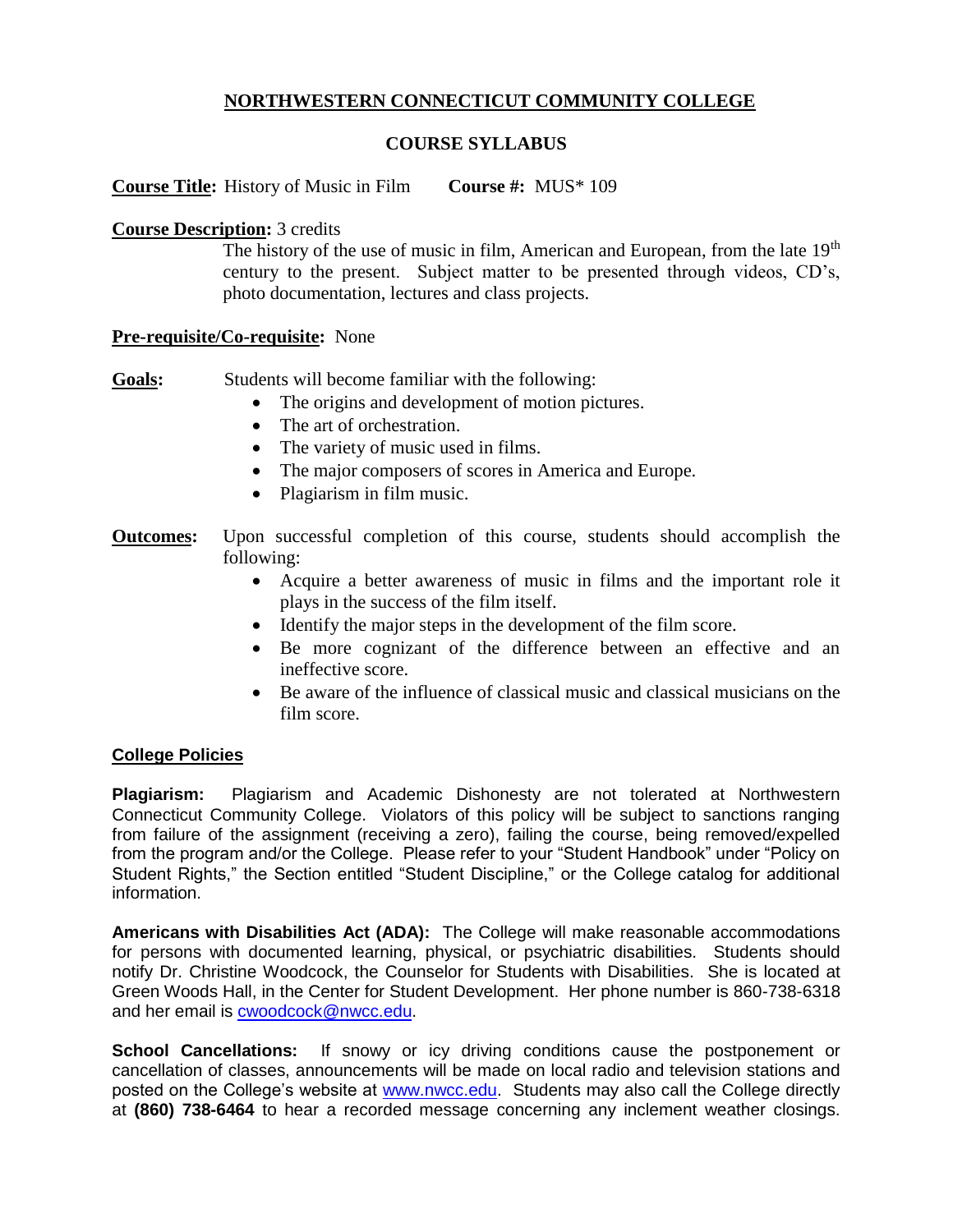# **NORTHWESTERN CONNECTICUT COMMUNITY COLLEGE**

## **COURSE SYLLABUS**

**Course Title:** History of Music in Film **Course #:** MUS\* 109

## **Course Description:** 3 credits

The history of the use of music in film, American and European, from the late 19<sup>th</sup> century to the present. Subject matter to be presented through videos, CD's, photo documentation, lectures and class projects.

### **Pre-requisite/Co-requisite:** None

**Goals:** Students will become familiar with the following:

- The origins and development of motion pictures.
- The art of orchestration.
- The variety of music used in films.
- The major composers of scores in America and Europe.
- Plagiarism in film music.
- **Outcomes:** Upon successful completion of this course, students should accomplish the following:
	- Acquire a better awareness of music in films and the important role it plays in the success of the film itself.
	- Identify the major steps in the development of the film score.
	- Be more cognizant of the difference between an effective and an ineffective score.
	- Be aware of the influence of classical music and classical musicians on the film score.

### **College Policies**

**Plagiarism:** Plagiarism and Academic Dishonesty are not tolerated at Northwestern Connecticut Community College. Violators of this policy will be subject to sanctions ranging from failure of the assignment (receiving a zero), failing the course, being removed/expelled from the program and/or the College. Please refer to your "Student Handbook" under "Policy on Student Rights," the Section entitled "Student Discipline," or the College catalog for additional information.

**Americans with Disabilities Act (ADA):** The College will make reasonable accommodations for persons with documented learning, physical, or psychiatric disabilities. Students should notify Dr. Christine Woodcock, the Counselor for Students with Disabilities. She is located at Green Woods Hall, in the Center for Student Development. Her phone number is 860-738-6318 and her email is [cwoodcock@nwcc.edu.](mailto:cwoodcock@nwcc.edu)

**School Cancellations:** If snowy or icy driving conditions cause the postponement or cancellation of classes, announcements will be made on local radio and television stations and posted on the College's website at [www.nwcc.edu.](http://www.nwcc.edu/) Students may also call the College directly at **(860) 738-6464** to hear a recorded message concerning any inclement weather closings.